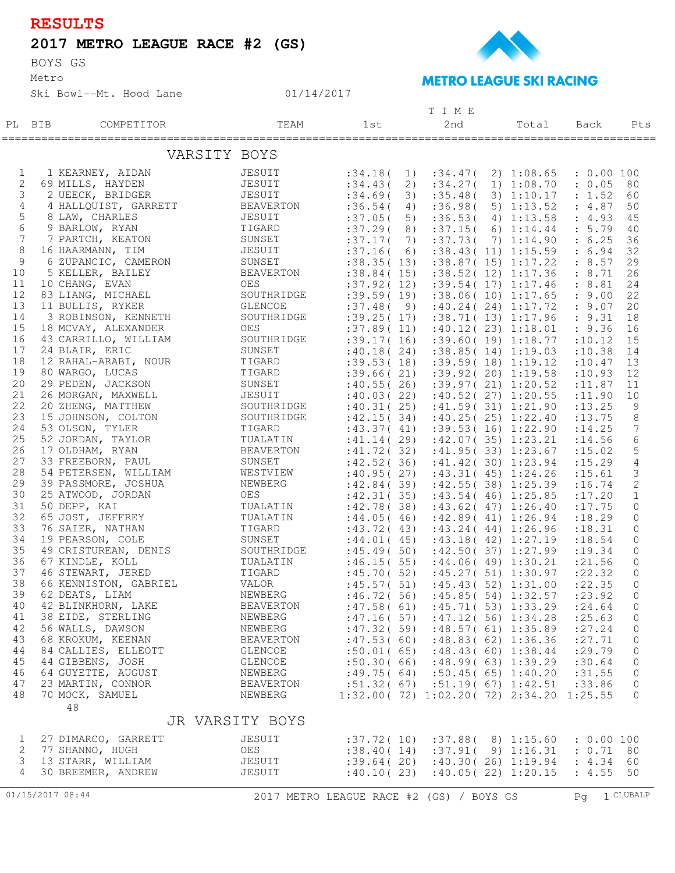## **RESULTS**

## **2017 METRO LEAGUE RACE #2 (GS)**

BOYS GS

Metro

Ski Bowl--Mt. Hood Lane

**METRO LEAGUE SKI RACING** 

## PL BIB COMPETITOR 1st 2nd Total Pts T I M E TEAM 1st 2nd Total Back =================================================================================================== VARSITY BOYS 1 1 KEARNEY, AIDAN JESUIT :34.18( 1) :34.47( 2) 1:08.65 : 0.00 100 2 69 MILLS, HAYDEN JESUIT :34.43( 2) :34.27( 1) 1:08.70 : 0.05 80 3 2 UEECK, BRIDGER JESUIT :34.69( 3) :35.48( 3) 1:10.17 : 1.52 60 4 4 HALLQUIST, GARRETT BEAVERTON :36.54( 4) :36.98( 5) 1:13.52 : 4.87 50 5 8 LAW, CHARLES JESUIT :37.05( 5) :36.53( 4) 1:13.58 : 4.93 45 6 9 BARLOW, RYAN TIGARD :37.29( 8) :37.15( 6) 1:14.44 : 5.79 40 7 7 PARTCH, KEATON SUNSET :37.17( 7) :37.73( 7) 1:14.90 : 6.25 36 8 16 HAARMANN, TIM JESUIT :37.16( 6) :38.43( 11) 1:15.59 : 6.94 32 9 6 ZUPANCIC, CAMERON SUNSET :38.35(13) :38.87(15) 1:17.22 : 8.57 29 10 5 KELLER, BAILEY BEAVERTON :38.84( 15) :38.52( 12) 1:17.36 : 8.71 26 11 10 CHANG, EVAN OES :37.92( 12) :39.54( 17) 1:17.46 : 8.81 24 12 83 LIANG, MICHAEL SOUTHRIDGE :39.59( 19) :38.06( 10) 1:17.65 : 9.00 22 13 11 BULLIS, RYKER GLENCOE :37.48( 9) :40.24( 24) 1:17.72 : 9.07 20 14 3 ROBINSON, KENNETH SOUTHRIDGE :39.25( 17) :38.71( 13) 1:17.96 : 9.31 18 15 18 MCVAY, ALEXANDER OES :37.89( 11) :40.12( 23) 1:18.01 : 9.36 16 16 43 CARRILLO, WILLIAM SOUTHRIDGE :39.17( 16) :39.60( 19) 1:18.77 :10.12 15 17 24 BLAIR, ERIC SUNSET :40.18( 24) :38.85( 14) 1:19.03 :10.38 14 18 12 RAHAL-ARABI, NOUR TIGARD :39.53( 18) :39.59( 18) 1:19.12 :10.47 13 19 80 WARGO, LUCAS TIGARD :39.66( 21) :39.92( 20) 1:19.58 :10.93 12 20 29 PEDEN, JACKSON SUNSET :40.55( 26) :39.97( 21) 1:20.52 :11.87 11 21 26 MORGAN, MAXWELL JESUIT :40.03( 22) :40.52( 27) 1:20.55 :11.90 10 22 20 ZHENG, MATTHEW SOUTHRIDGE :40.31( 25) :41.59( 31) 1:21.90 :13.25 9 23 15 JOHNSON, COLTON SOUTHRIDGE :42.15( 34) :40.25( 25) 1:22.40 :13.75 8 24 53 OLSON, TYLER TIGARD :43.37( 41) :39.53( 16) 1:22.90 :14.25 7 25 52 JORDAN, TAYLOR TUALATIN :41.14( 29) :42.07( 35) 1:23.21 :14.56 6 26 17 OLDHAM, RYAN BEAVERTON :41.72( 32) :41.95( 33) 1:23.67 :15.02 5 27 33 FREEBORN, PAUL SUNSET :42.52( 36) :41.42( 30) 1:23.94 :15.29 4 28 54 PETERSEN, WILLIAM WESTVIEW :40.95( 27) :43.31( 45) 1:24.26 :15.61 3 29 39 PASSMORE, JOSHUA NEWBERG :42.84( 39) :42.55( 38) 1:25.39 :16.74 2 30 25 ATWOOD, JORDAN OES :42.31( 35) :43.54( 46) 1:25.85 :17.20 1 31 50 DEPP, KAI TUALATIN :42.78( 38) :43.62( 47) 1:26.40 :17.75 0 32 65 JOST, JEFFREY TUALATIN :44.05( 46) :42.89( 41) 1:26.94 :18.29 0 33 76 SAIER, NATHAN TIGARD :43.72( 43) :43.24( 44) 1:26.96 :18.31 0 34 19 PEARSON, COLE SUNSET :44.01 (45) :43.18 (42) 1:27.19 :18.54 0 35 49 CRISTUREAN, DENIS SOUTHRIDGE :45.49( 50) :42.50( 37) 1:27.99 :19.34 0 36 67 KINDLE, KOLL TUALATIN :46.15( 55) :44.06( 49) 1:30.21 :21.56 0 37 46 STEWART, JERED TIGARD :45.70( 52) :45.27( 51) 1:30.97 :22.32 0 38 66 KENNISTON, GABRIEL VALOR :45.57( 51) :45.43( 52) 1:31.00 :22.35 0 39 62 DEATS, LIAM NEWBERG :46.72( 56) :45.85( 54) 1:32.57 :23.92 0 40 42 BLINKHORN, LAKE BEAVERTON :47.58( 61) :45.71( 53) 1:33.29 :24.64 0 41 38 EIDE, STERLING NEWBERG :47.16( 57) :47.12( 56) 1:34.28 :25.63 0 42 56 WALLS, DAWSON NEWBERG :47.32( 59) :48.57( 61) 1:35.89 :27.24 0 43 68 KROKUM, KEENAN BEAVERTON : 47.53( 60) : 48.83( 62) 1:36.36 : 27.71 0 44 84 CALLIES, ELLEOTT GLENCOE :50.01( 65) :48.43( 60) 1:38.44 :29.79 0 45 44 GIBBENS, JOSH GLENCOE :50.30( 66) :48.99( 63) 1:39.29 :30.64 0 46 64 GUYETTE, AUGUST NEWBERG :49.75( 64) :50.45( 65) 1:40.20 :31.55 0 47 23 MARTIN, CONNOR BEAVERTON :51.32( 67) :51.19( 67) 1:42.51 :33.86 0 48 70 MOCK, SAMUEL NEWBERG 1:32.00( 72) 1:02.20( 72) 2:34.20 1:25.55 0 48 JR VARSITY BOYS 1 27 DIMARCO, GARRETT JESUIT :37.72( 10) :37.88( 8) 1:15.60 : 0.00 100 2 77 SHANNO, HUGH OES :38.40( 14) :37.91( 9) 1:16.31 : 0.71 80 3 13 STARR, WILLIAM JESUIT :39.64( 20) :40.30( 26) 1:19.94 : 4.34 60 4 30 BREEMER, ANDREW JESUIT :40.10( 23) :40.05( 22) 1:20.15 : 4.55 50 01/15/2017 08:44 2017 METRO LEAGUE RACE #2 (GS) / BOYS GS Pg 1 CLUBALP

01/14/2017